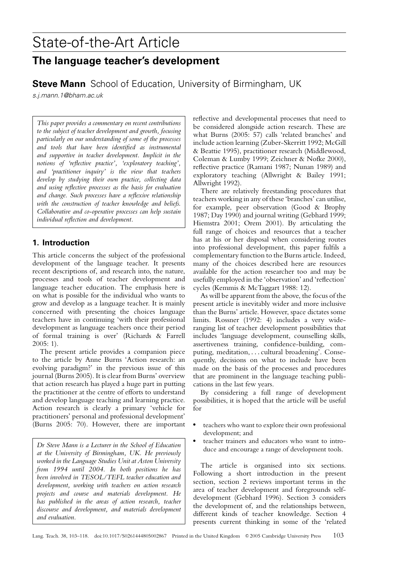# State-of-the-Art Article

## **The language teacher's development**

**Steve Mann** School of Education, University of Birmingham, UK

s.j.mann.1@bham.ac.uk

*This paper provides a commentary on recent contributions to the subject of teacher development and growth, focusing particularly on our understanding of some of the processes and tools that have been identified as instrumental and supportive in teacher development. Implicit in the notions of 'reflective practice', 'exploratory teaching', and 'practitioner inquiry' is the view that teachers develop by studying their own practice, collecting data and using reflective processes as the basis for evaluation and change. Such processes have a reflexive relationship with the construction of teacher knowledge and beliefs. Collaborative and co-operative processes can help sustain individual reflection and development.*

## **1. Introduction**

This article concerns the subject of the professional development of the language teacher. It presents recent descriptions of, and research into, the nature, processes and tools of teacher development and language teacher education. The emphasis here is on what is possible for the individual who wants to grow and develop as a language teacher. It is mainly concerned with presenting the choices language teachers have in continuing 'with their professional development as language teachers once their period of formal training is over' (Richards & Farrell  $2005:1$ 

The present article provides a companion piece to the article by Anne Burns 'Action research: an evolving paradigm?' in the previous issue of this journal (Burns 2005). It is clear from Burns' overview that action research has played a huge part in putting the practitioner at the centre of efforts to understand and develop language teaching and learning practice. Action research is clearly a primary 'vehicle for practitioners' personal and professional development' (Burns 2005: 70). However, there are important

*Dr Steve Mann is a Lecturer in the School of Education at the University of Birmingham, UK. He previously worked in the Language Studies Unit at Aston University from 1994 until 2004. In both positions he has been involved in TESOL/TEFL teacher education and development, working with teachers on action research projects and course and materials development. He has published in the areas of action research, teacher discourse and development, and materials development and evaluation.*

reflective and developmental processes that need to be considered alongside action research. These are what Burns (2005: 57) calls 'related branches' and include action learning (Zuber-Skerritt 1992; McGill & Beattie 1995), practitioner research (Middlewood, Coleman & Lumby 1999; Zeichner & Nofke 2000), reflective practice (Ramani 1987; Nunan 1989) and exploratory teaching (Allwright & Bailey 1991; Allwright 1992).

There are relatively freestanding procedures that teachers working in any of these 'branches' can utilise, for example, peer observation (Good & Brophy 1987; Day 1990) and journal writing (Gebhard 1999; Hiemstra 2001; Orem 2001). By articulating the full range of choices and resources that a teacher has at his or her disposal when considering routes into professional development, this paper fulfils a complementary function to the Burns article. Indeed, many of the choices described here are resources available for the action researcher too and may be usefully employed in the 'observation' and 'reflection' cycles (Kemmis & McTaggart 1988: 12).

As will be apparent from the above, the focus of the present article is inevitably wider and more inclusive than the Burns' article. However, space dictates some limits. Rossner (1992: 4) includes a very wideranging list of teacher development possibilities that includes 'language development, counselling skills, assertiveness training, confidence-building, computing, meditation, *...* cultural broadening'. Consequently, decisions on what to include have been made on the basis of the processes and procedures that are prominent in the language teaching publications in the last few years.

By considering a full range of development possibilities, it is hoped that the article will be useful for

- teachers who want to explore their own professional development; and
- teacher trainers and educators who want to introduce and encourage a range of development tools.

The article is organised into six sections. Following a short introduction in the present section, section 2 reviews important terms in the area of teacher development and foregrounds selfdevelopment (Gebhard 1996). Section 3 considers the development of, and the relationships between, different kinds of teacher knowledge. Section 4 presents current thinking in some of the 'related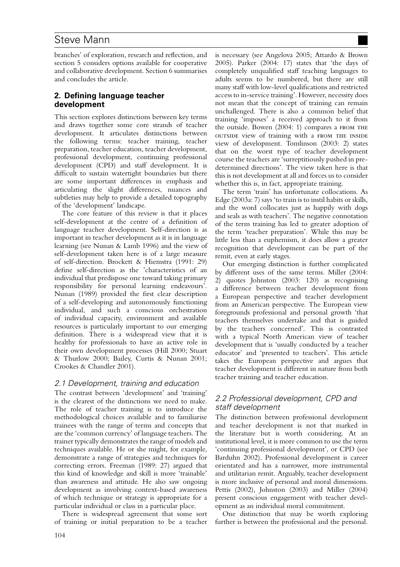branches' of exploration, research and reflection, and section 5 considers options available for cooperative and collaborative development. Section 6 summarises and concludes the article.

## **2. Defining language teacher development**

This section explores distinctions between key terms and draws together some core strands of teacher development. It articulates distinctions between the following terms: teacher training, teacher preparation, teacher education, teacher development, professional development, continuing professional development (CPD) and staff development. It is difficult to sustain watertight boundaries but there are some important differences in emphasis and articulating the slight differences, nuances and subtleties may help to provide a detailed topography of the 'development' landscape.

The core feature of this review is that it places self-development at the centre of a definition of language teacher development. Self-direction is as important in teacher development as it is in language learning (see Nunan & Lamb 1996) and the view of self-development taken here is of a large measure of self-direction. Brockett & Hiemstra (1991: 29) define self-direction as the 'characteristics of an individual that predispose one toward taking primary responsibility for personal learning endeavours'. Nunan (1989) provided the first clear description of a self-developing and autonomously functioning individual, and such a conscious orchestration of individual capacity, environment and available resources is particularly important to our emerging definition. There is a widespread view that it is healthy for professionals to have an active role in their own development processes (Hill 2000; Stuart & Thurlow 2000; Bailey, Curtis & Nunan 2001; Crookes & Chandler 2001).

## 2.1 Development, training and education

The contrast between 'development' and 'training' is the clearest of the distinctions we need to make. The role of teacher training is to introduce the methodological choices available and to familiarise trainees with the range of terms and concepts that are the 'common currency' of language teachers. The trainer typically demonstrates the range of models and techniques available. He or she might, for example, demonstrate a range of strategies and techniques for correcting errors. Freeman (1989: 27) argued that this kind of knowledge and skill is more 'trainable' than awareness and attitude. He also saw ongoing development as involving context-based awareness of which technique or strategy is appropriate for a particular individual or class in a particular place.

There is widespread agreement that some sort of training or initial preparation to be a teacher is necessary (see Angelova 2005; Attardo & Brown 2005). Parker (2004: 17) states that 'the days of completely unqualified staff teaching languages to adults seems to be numbered, but there are still many staff with low-level qualifications and restricted access to in-service training'. However, necessity does not mean that the concept of training can remain unchallenged. There is also a common belief that training 'imposes' a received approach to it from the outside. Bowen (2004: 1) compares a from the outside view of training with a FROM THE INSIDE view of development. Tomlinson (2003: 2) states that on the worst type of teacher development course the teachers are 'surreptitiously pushed in predetermined directions'. The view taken here is that this is not development at all and forces us to consider whether this is, in fact, appropriate training.

The term 'train' has unfortunate collocations. As Edge (2003a: 7) says 'to train is to instil habits or skills, and the word collocates just as happily with dogs and seals as with teachers'. The negative connotation of the term training has led to greater adoption of the term 'teacher preparation'. While this may be little less than a euphemism, it does allow a greater recognition that development can be part of the remit, even at early stages.

Our emerging distinction is further complicated by different uses of the same terms. Miller (2004: 2) quotes Johnston (2003: 120) as recognising a difference between teacher development from a European perspective and teacher development from an American perspective. The European view foregrounds professional and personal growth 'that teachers themselves undertake and that is guided by the teachers concerned'. This is contrasted with a typical North American view of teacher development that is 'usually conducted by a teacher educator' and 'presented to teachers'. This article takes the European perspective and argues that teacher development is different in nature from both teacher training and teacher education.

## 2.2 Professional development, CPD and staff development

The distinction between professional development and teacher development is not that marked in the literature but is worth considering. At an institutional level, it is more common to use the term 'continuing professional development', or CPD (see Barduhn 2002). Professional development is career orientated and has a narrower, more instrumental and utilitarian remit. Arguably, teacher development is more inclusive of personal and moral dimensions. Pettis (2002), Johnston (2003) and Miller (2004) present conscious engagement with teacher development as an individual moral commitment.

One distinction that may be worth exploring further is between the professional and the personal.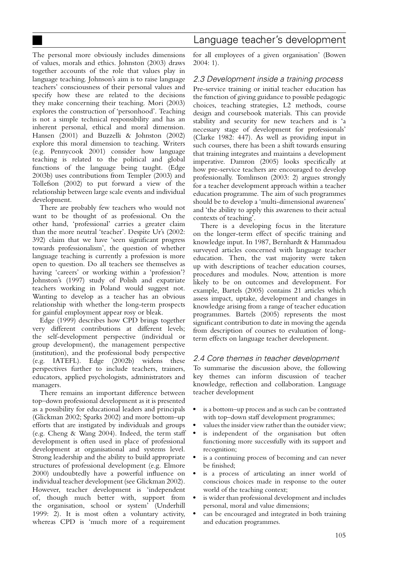The personal more obviously includes dimensions of values, morals and ethics. Johnston (2003) draws together accounts of the role that values play in language teaching. Johnson's aim is to raise language teachers' consciousness of their personal values and specify how these are related to the decisions they make concerning their teaching. Mori (2003) explores the construction of 'personhood'. Teaching is not a simple technical responsibility and has an inherent personal, ethical and moral dimension. Hansen (2001) and Buzzelli & Johnston (2002) explore this moral dimension to teaching. Writers (e.g. Pennycook 2001) consider how language teaching is related to the political and global functions of the language being taught. (Edge 2003b) uses contributions from Templer (2003) and Tollefson (2002) to put forward a view of the relationship between large scale events and individual

development. There are probably few teachers who would not want to be thought of as professional. On the other hand, 'professional' carries a greater claim than the more neutral 'teacher'. Despite Ur's (2002: 392) claim that we have 'seen significant progress towards professionalism', the question of whether language teaching is currently a profession is more open to question. Do all teachers see themselves as having 'careers' or working within a 'profession'? Johnston's (1997) study of Polish and expatriate teachers working in Poland would suggest not. Wanting to develop as a teacher has an obvious relationship with whether the long-term prospects for gainful employment appear rosy or bleak.

Edge (1999) describes how CPD brings together very different contributions at different levels; the self-development perspective (individual or group development), the management perspective (institution), and the professional body perspective (e.g. IATEFL). Edge (2002b) widens these perspectives further to include teachers, trainers, educators, applied psychologists, administrators and managers.

There remains an important difference between top–down professional development as it is presented as a possibility for educational leaders and principals (Glickman 2002; Sparks 2002) and more bottom–up efforts that are instigated by individuals and groups (e.g. Cheng & Wang 2004). Indeed, the term staff development is often used in place of professional development at organisational and systems level. Strong leadership and the ability to build appropriate structures of professional development (e.g. Elmore 2000) undoubtedly have a powerful influence on individual teacher development (see Glickman 2002). However, teacher development is 'independent of, though much better with, support from the organisation, school or system' (Underhill 1999: 2). It is most often a voluntary activity, whereas CPD is 'much more of a requirement

for all employees of a given organisation' (Bowen 2004: 1).

## 2.3 Development inside <sup>a</sup> training process

Pre-service training or initial teacher education has the function of giving guidance to possible pedagogic choices, teaching strategies, L2 methods, course design and coursebook materials. This can provide stability and security for new teachers and is 'a necessary stage of development for professionals' (Clarke 1982: 447). As well as providing input in such courses, there has been a shift towards ensuring that training integrates and maintains a development imperative. Damron (2005) looks specifically at how pre-service teachers are encouraged to develop professionally. Tomlinson (2003: 2) argues strongly for a teacher development approach within a teacher education programme. The aim of such programmes should be to develop a 'multi-dimensional awareness' and 'the ability to apply this awareness to their actual contexts of teaching'.

There is a developing focus in the literature on the longer-term effect of specific training and knowledge input. In 1987, Bernhardt & Hammadou surveyed articles concerned with language teacher education. Then, the vast majority were taken up with descriptions of teacher education courses, procedures and modules. Now, attention is more likely to be on outcomes and development. For example, Bartels (2005) contains 21 articles which assess impact, uptake, development and changes in knowledge arising from a range of teacher education programmes. Bartels (2005) represents the most significant contribution to date in moving the agenda from description of courses to evaluation of longterm effects on language teacher development.

## 2.4 Core themes in teacher development

To summarise the discussion above, the following key themes can inform discussion of teacher knowledge, reflection and collaboration. Language teacher development

- is a bottom–up process and as such can be contrasted with top-down staff development programmes;
- values the insider view rather than the outsider view;
- is independent of the organisation but often functioning more successfully with its support and recognition;
- is a continuing process of becoming and can never be finished;
- is a process of articulating an inner world of conscious choices made in response to the outer world of the teaching context;
- is wider than professional development and includes personal, moral and value dimensions;
- can be encouraged and integrated in both training and education programmes.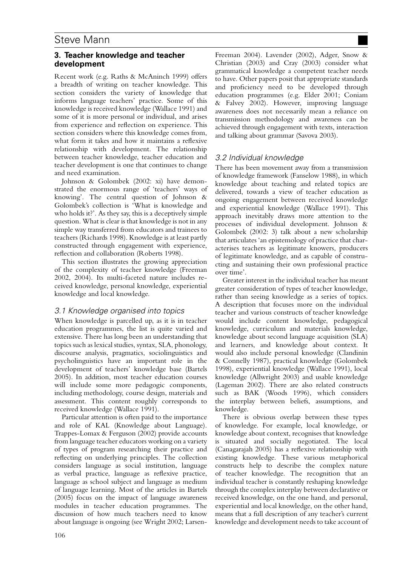## **3. Teacher knowledge and teacher development**

Recent work (e.g. Raths & McAninch 1999) offers a breadth of writing on teacher knowledge. This section considers the variety of knowledge that informs language teachers' practice. Some of this knowledge is received knowledge (Wallace 1991) and some of it is more personal or individual, and arises from experience and reflection on experience. This section considers where this knowledge comes from, what form it takes and how it maintains a reflexive relationship with development. The relationship between teacher knowledge, teacher education and teacher development is one that continues to change and need examination.

Johnson & Golombek (2002: xi) have demonstrated the enormous range of 'teachers' ways of knowing'. The central question of Johnson & Golombek's collection is 'What is knowledge and who holds it?'. As they say, this is a deceptively simple question. What is clear is that knowledge is not in any simple way transferred from educators and trainees to teachers (Richards 1998). Knowledge is at least partly constructed through engagement with experience, reflection and collaboration (Roberts 1998).

This section illustrates the growing appreciation of the complexity of teacher knowledge (Freeman 2002, 2004). Its multi-faceted nature includes received knowledge, personal knowledge, experiential knowledge and local knowledge.

## 3.1 Knowledge organised into topics

When knowledge is parcelled up, as it is in teacher education programmes, the list is quite varied and extensive. There has long been an understanding that topics such as lexical studies, syntax, SLA, phonology, discourse analysis, pragmatics, sociolinguistics and psycholinguistics have an important role in the development of teachers' knowledge base (Bartels 2005). In addition, most teacher education courses will include some more pedagogic components, including methodology, course design, materials and assessment. This content roughly corresponds to received knowledge (Wallace 1991).

Particular attention is often paid to the importance and role of KAL (Knowledge about Language). Trappes-Lomax & Ferguson (2002) provide accounts from language teacher educators working on a variety of types of program researching their practice and reflecting on underlying principles. The collection considers language as social institution, language as verbal practice, language as reflexive practice, language as school subject and language as medium of language learning. Most of the articles in Bartels (2005) focus on the impact of language awareness modules in teacher education programmes. The discussion of how much teachers need to know about language is ongoing (see Wright 2002; LarsenFreeman 2004). Lavender (2002), Adger, Snow & Christian (2003) and Cray (2003) consider what grammatical knowledge a competent teacher needs to have. Other papers posit that appropriate standards and proficiency need to be developed through education programmes (e.g. Elder 2001; Coniam & Falvey 2002). However, improving language awareness does not necessarily mean a reliance on transmission methodology and awareness can be achieved through engagement with texts, interaction and talking about grammar (Savova 2003).

## 3.2 Individual knowledge

There has been movement away from a transmission of knowledge framework (Fanselow 1988), in which knowledge about teaching and related topics are delivered, towards a view of teacher education as ongoing engagement between received knowledge and experiential knowledge (Wallace 1991). This approach inevitably draws more attention to the processes of individual development. Johnson & Golombek (2002: 3) talk about a new scholarship that articulates 'an epistemology of practice that characterises teachers as legitimate knowers, producers of legitimate knowledge, and as capable of constructing and sustaining their own professional practice over time'.

Greater interest in the individual teacher has meant greater consideration of types of teacher knowledge, rather than seeing knowledge as a series of topics. A description that focuses more on the individual teacher and various constructs of teacher knowledge would include content knowledge, pedagogical knowledge, curriculum and materials knowledge, knowledge about second language acquisition (SLA) and learners, and knowledge about context. It would also include personal knowledge (Clandinin & Connelly 1987), practical knowledge (Golombek 1998), experiential knowledge (Wallace 1991), local knowledge (Allwright 2003) and usable knowledge (Lageman 2002). There are also related constructs such as BAK (Woods 1996), which considers the interplay between beliefs, assumptions, and knowledge.

There is obvious overlap between these types of knowledge. For example, local knowledge, or knowledge about context, recognises that knowledge is situated and socially negotiated. The local (Canagarajah 2005) has a reflexive relationship with existing knowledge. These various metaphorical constructs help to describe the complex nature of teacher knowledge. The recognition that an individual teacher is constantly reshaping knowledge through the complex interplay between declarative or received knowledge, on the one hand, and personal, experiential and local knowledge, on the other hand, means that a full description of any teacher's current knowledge and development needs to take account of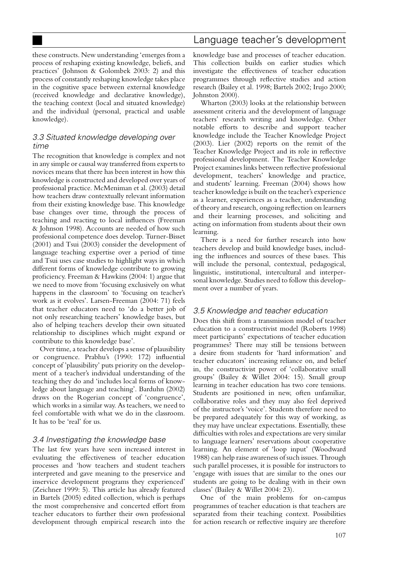## Language teacher's development

these constructs. New understanding 'emerges from a process of reshaping existing knowledge, beliefs, and practices' (Johnson & Golombek 2003: 2) and this process of constantly reshaping knowledge takes place in the cognitive space between external knowledge (received knowledge and declarative knowledge), the teaching context (local and situated knowledge) and the individual (personal, practical and usable knowledge).

## 3.3 Situated knowledge developing over time

The recognition that knowledge is complex and not in any simple or causal way transferred from experts to novices means that there has been interest in how this knowledge is constructed and developed over years of professional practice. McMeniman et al. (2003) detail how teachers draw contextually relevant information from their existing knowledge base. This knowledge base changes over time, through the process of teaching and reacting to local influences (Freeman & Johnson 1998). Accounts are needed of how such professional competence does develop. Turner-Bisset (2001) and Tsui (2003) consider the development of language teaching expertise over a period of time and Tsui uses case studies to highlight ways in which different forms of knowledge contribute to growing proficiency. Freeman & Hawkins (2004: 1) argue that we need to move from 'focusing exclusively on what happens in the classroom' to 'focusing on teacher's work as it evolves'. Larsen-Freeman (2004: 71) feels that teacher educators need to 'do a better job of not only researching teachers' knowledge bases, but also of helping teachers develop their own situated relationship to disciplines which might expand or contribute to this knowledge base'.

Over time, a teacher develops a sense of plausibility or congruence. Prabhu's (1990: 172) influential concept of 'plausibility' puts priority on the development of a teacher's individual understanding of the teaching they do and 'includes local forms of knowledge about language and teaching'. Barduhn (2002) draws on the Rogerian concept of 'congruence', which works in a similar way. As teachers, we need to feel comfortable with what we do in the classroom. It has to be 'real' for us.

## 3.4 Investigating the knowledge base

The last few years have seen increased interest in evaluating the effectiveness of teacher education processes and 'how teachers and student teachers interpreted and gave meaning to the preservice and inservice development programs they experienced' (Zeichner 1999: 5). This article has already featured in Bartels (2005) edited collection, which is perhaps the most comprehensive and concerted effort from teacher educators to further their own professional development through empirical research into the

knowledge base and processes of teacher education. This collection builds on earlier studies which investigate the effectiveness of teacher education programmes through reflective studies and action research (Bailey et al. 1998; Bartels 2002; Irujo 2000; Johnston 2000).

Wharton (2003) looks at the relationship between assessment criteria and the development of language teachers' research writing and knowledge. Other notable efforts to describe and support teacher knowledge include the Teacher Knowledge Project (2003). Lier (2002) reports on the remit of the Teacher Knowledge Project and its role in reflective professional development. The Teacher Knowledge Project examines links between reflective professional development, teachers' knowledge and practice, and students' learning. Freeman (2004) shows how teacher knowledge is built on the teacher's experience as a learner, experiences as a teacher, understanding of theory and research, ongoing reflection on learners and their learning processes, and soliciting and acting on information from students about their own learning.

There is a need for further research into how teachers develop and build knowledge bases, including the influences and sources of these bases. This will include the personal, contextual, pedagogical, linguistic, institutional, intercultural and interpersonal knowledge. Studies need to follow this development over a number of years.

## 3.5 Knowledge and teacher education

Does this shift from a transmission model of teacher education to a constructivist model (Roberts 1998) meet participants' expectations of teacher education programmes? There may still be tensions between a desire from students for 'hard information' and teacher educators' increasing reliance on, and belief in, the constructivist power of 'collaborative small groups' (Bailey & Willet 2004: 15). Small group learning in teacher education has two core tensions. Students are positioned in new, often unfamiliar, collaborative roles and they may also feel deprived of the instructor's 'voice'. Students therefore need to be prepared adequately for this way of working, as they may have unclear expectations. Essentially, these difficulties with roles and expectations are very similar to language learners' reservations about cooperative learning. An element of 'loop input' (Woodward 1988) can help raise awareness of such issues. Through such parallel processes, it is possible for instructors to 'engage with issues that are similar to the ones our students are going to be dealing with in their own classes' (Bailey & Willet 2004: 23).

One of the main problems for on-campus programmes of teacher education is that teachers are separated from their teaching context. Possibilities for action research or reflective inquiry are therefore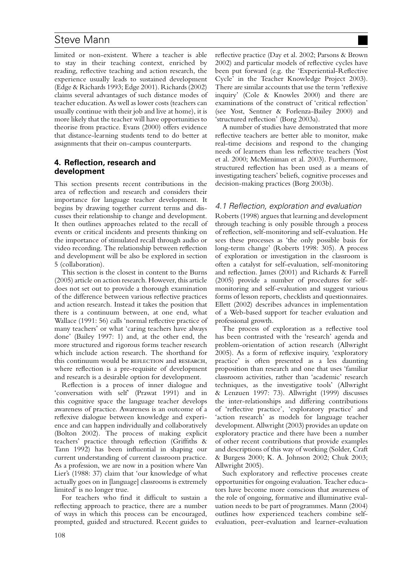limited or non-existent. Where a teacher is able to stay in their teaching context, enriched by reading, reflective teaching and action research, the experience usually leads to sustained development (Edge & Richards 1993; Edge 2001). Richards (2002) claims several advantages of such distance modes of teacher education. As well as lower costs (teachers can usually continue with their job and live at home), it is more likely that the teacher will have opportunities to theorise from practice. Evans (2000) offers evidence that distance-learning students tend to do better at assignments that their on-campus counterparts.

## **4. Reflection, research and development**

This section presents recent contributions in the area of reflection and research and considers their importance for language teacher development. It begins by drawing together current terms and discusses their relationship to change and development. It then outlines approaches related to the recall of events or critical incidents and presents thinking on the importance of stimulated recall through audio or video recording. The relationship between reflection and development will be also be explored in section 5 (collaboration).

This section is the closest in content to the Burns (2005) article on action research. However, this article does not set out to provide a thorough examination of the difference between various reflective practices and action research. Instead it takes the position that there is a continuum between, at one end, what Wallace (1991: 56) calls 'normal reflective practice of many teachers' or what 'caring teachers have always done' (Bailey 1997: 1) and, at the other end, the more structured and rigorous forms teacher research which include action research. The shorthand for this continuum would be REFLECTION and RESEARCH, where reflection is a pre-requisite of development and research is a desirable option for development.

Reflection is a process of inner dialogue and 'conversation with self' (Prawat 1991) and in this cognitive space the language teacher develops awareness of practice. Awareness is an outcome of a reflexive dialogue between knowledge and experience and can happen individually and collaboratively (Bolton 2002). The process of making explicit teachers' practice through reflection (Griffiths & Tann 1992) has been influential in shaping our current understanding of current classroom practice. As a profession, we are now in a position where Van Lier's (1988: 37) claim that 'our knowledge of what actually goes on in [language] classrooms is extremely limited' is no longer true.

For teachers who find it difficult to sustain a reflecting approach to practice, there are a number of ways in which this process can be encouraged, prompted, guided and structured. Recent guides to

reflective practice (Day et al. 2002; Parsons & Brown 2002) and particular models of reflective cycles have been put forward (e.g. the 'Experiential-Reflective Cycle' in the Teacher Knowledge Project 2003). There are similar accounts that use the term 'reflexive inquiry' (Cole & Knowles 2000) and there are examinations of the construct of 'critical reflection' (see Yost, Sentner & Forlenza-Bailey 2000) and 'structured reflection' (Borg 2003a).

A number of studies have demonstrated that more reflective teachers are better able to monitor, make real-time decisions and respond to the changing needs of learners than less reflective teachers (Yost et al. 2000; McMeniman et al. 2003). Furthermore, structured reflection has been used as a means of investigating teachers' beliefs, cognitive processes and decision-making practices (Borg 2003b).

#### 4.1 Reflection, exploration and evaluation

Roberts (1998) argues that learning and development through teaching is only possible through a process of reflection, self-monitoring and self-evaluation. He sees these processes as 'the only possible basis for long-term change' (Roberts 1998: 305). A process of exploration or investigation in the classroom is often a catalyst for self-evaluation, self-monitoring and reflection. James (2001) and Richards & Farrell (2005) provide a number of procedures for selfmonitoring and self-evaluation and suggest various forms of lesson reports, checklists and questionnaires. Ellett (2002) describes advances in implementation of a Web-based support for teacher evaluation and professional growth.

The process of exploration as a reflective tool has been contrasted with the 'research' agenda and problem-orientation of action research (Allwright 2005). As a form of reflexive inquiry, 'exploratory practice' is often presented as a less daunting proposition than research and one that uses 'familiar classroom activities, rather than 'academic' research techniques, as the investigative tools' (Allwright & Lenzuen 1997: 73). Allwright (1999) discusses the inter-relationships and differing contributions of 'reflective practice', 'exploratory practice' and 'action research' as models for language teacher development. Allwright (2003) provides an update on exploratory practice and there have been a number of other recent contributions that provide examples and descriptions of this way of working (Solder, Craft & Burgess 2000; K. A. Johnson 2002; Chuk 2003; Allwright 2005).

Such exploratory and reflective processes create opportunities for ongoing evaluation. Teacher educators have become more conscious that awareness of the role of ongoing, formative and illuminative evaluation needs to be part of programmes. Mann (2004) outlines how experienced teachers combine selfevaluation, peer-evaluation and learner-evaluation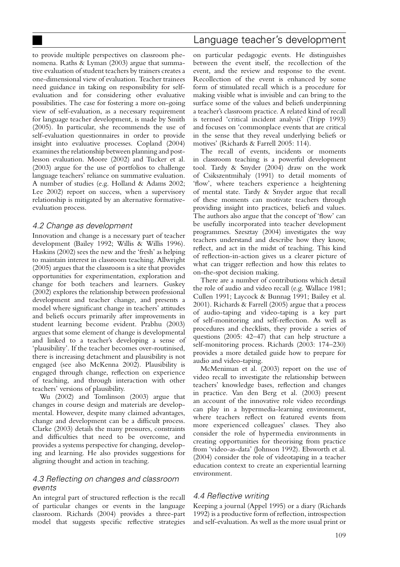## Language teacher's development

to provide multiple perspectives on classroom phenomena. Raths & Lyman (2003) argue that summative evaluation of student teachers by trainers creates a one-dimensional view of evaluation. Teacher trainees need guidance in taking on responsibility for selfevaluation and for considering other evaluative possibilities. The case for fostering a more on-going view of self-evaluation, as a necessary requirement for language teacher development, is made by Smith (2005). In particular, she recommends the use of self-evaluation questionnaires in order to provide insight into evaluative processes. Copland (2004) examines the relationship between planning and postlesson evaluation. Moore (2002) and Tucker et al. (2003) argue for the use of portfolios to challenge language teachers' reliance on summative evaluation. A number of studies (e.g. Holland & Adams 2002; Lee 2002) report on success, when a supervisory relationship is mitigated by an alternative formativeevaluation process.

#### 4.2 Change as development

Innovation and change is a necessary part of teacher development (Bailey 1992; Willis & Willis 1996). Haskins (2002) sees the new and the 'fresh' as helping to maintain interest in classroom teaching. Allwright (2005) argues that the classroom is a site that provides opportunities for experimentation, exploration and change for both teachers and learners. Guskey (2002) explores the relationship between professional development and teacher change, and presents a model where significant change in teachers' attitudes and beliefs occurs primarily after improvements in student learning become evident. Prabhu (2003) argues that some element of change is developmental and linked to a teacher's developing a sense of 'plausibility'. If the teacher becomes over-routinised, there is increasing detachment and plausibility is not engaged (see also McKenna 2002). Plausibility is engaged through change, reflection on experience of teaching, and through interaction with other teachers' versions of plausibility.

Wu (2002) and Tomlinson (2003) argue that changes in course design and materials are developmental. However, despite many claimed advantages, change and development can be a difficult process. Clarke (2003) details the many pressures, constraints and difficulties that need to be overcome, and provides a systems perspective for changing, developing and learning. He also provides suggestions for aligning thought and action in teaching.

## 4.3 Reflecting on changes and classroom events

An integral part of structured reflection is the recall of particular changes or events in the language classroom. Richards (2004) provides a three-part model that suggests specific reflective strategies

on particular pedagogic events. He distinguishes between the event itself, the recollection of the event, and the review and response to the event. Recollection of the event is enhanced by some form of stimulated recall which is a procedure for making visible what is invisible and can bring to the surface some of the values and beliefs underpinning a teacher's classroom practice. A related kind of recall is termed 'critical incident analysis' (Tripp 1993) and focuses on 'commonplace events that are critical in the sense that they reveal underlying beliefs or motives' (Richards & Farrell 2005: 114).

The recall of events, incidents or moments in classroom teaching is a powerful development tool. Tardy & Snyder (2004) draw on the work of Csikszentmihaly (1991) to detail moments of 'flow', where teachers experience a heightening of mental state. Tardy & Snyder argue that recall of these moments can motivate teachers through providing insight into practices, beliefs and values. The authors also argue that the concept of 'flow' can be usefully incorporated into teacher development programmes. Szesztay (2004) investigates the way teachers understand and describe how they know, reflect, and act in the midst of teaching. This kind of reflection-in-action gives us a clearer picture of what can trigger reflection and how this relates to on-the-spot decision making.

There are a number of contributions which detail the role of audio and video recall (e.g. Wallace 1981; Cullen 1991; Laycock & Bunnag 1991; Bailey et al. 2001). Richards & Farrell (2005) argue that a process of audio-taping and video-taping is a key part of self-monitoring and self-reflection. As well as procedures and checklists, they provide a series of questions (2005: 42–47) that can help structure a self-monitoring process. Richards (2003: 174–230) provides a more detailed guide how to prepare for audio and video-taping.

McMeniman et al. (2003) report on the use of video recall to investigate the relationship between teachers' knowledge bases, reflection and changes in practice. Van den Berg et al. (2003) present an account of the innovative role video recordings can play in a hypermedia-learning environment, where teachers reflect on featured events from more experienced colleagues' classes. They also consider the role of hypermedia environments in creating opportunities for theorising from practice from 'video-as-data' (Johnson 1992). Ebsworth et al. (2004) consider the role of videotaping in a teacher education context to create an experiential learning environment.

## 4.4 Reflective writing

Keeping a journal (Appel 1995) or a diary (Richards 1992) is a productive form of reflection, introspection and self-evaluation. As well as the more usual print or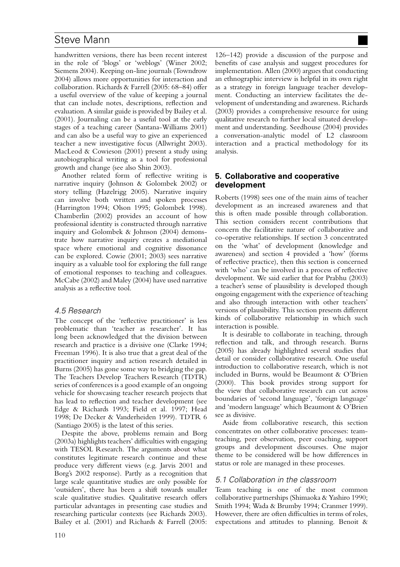handwritten versions, there has been recent interest in the role of 'blogs' or 'weblogs' (Winer 2002; Siemens 2004). Keeping on-line journals (Towndrow 2004) allows more opportunities for interaction and collaboration. Richards & Farrell (2005: 68–84) offer a useful overview of the value of keeping a journal that can include notes, descriptions, reflection and evaluation. A similar guide is provided by Bailey et al. (2001). Journaling can be a useful tool at the early stages of a teaching career (Santana-Williams 2001) and can also be a useful way to give an experienced teacher a new investigative focus (Allwright 2003). MacLeod & Cowieson (2001) present a study using autobiographical writing as a tool for professional growth and change (see also Shin 2003).

Another related form of reflective writing is narrative inquiry (Johnson & Golombek 2002) or story telling (Hazelrigg 2005). Narrative inquiry can involve both written and spoken processes (Harrington 1994; Olson 1995; Golombek 1998). Chamberlin (2002) provides an account of how professional identity is constructed through narrative inquiry and Golombek & Johnson (2004) demonstrate how narrative inquiry creates a mediational space where emotional and cognitive dissonance can be explored. Cowie (2001; 2003) sees narrative inquiry as a valuable tool for exploring the full range of emotional responses to teaching and colleagues. McCabe (2002) and Maley (2004) have used narrative analysis as a reflective tool.

## 4.5 Research

The concept of the 'reflective practitioner' is less problematic than 'teacher as researcher'. It has long been acknowledged that the division between research and practice is a divisive one (Clarke 1994; Freeman 1996). It is also true that a great deal of the practitioner inquiry and action research detailed in Burns (2005) has gone some way to bridging the gap. The Teachers Develop Teachers Research (TDTR) series of conferences is a good example of an ongoing vehicle for showcasing teacher research projects that has lead to reflection and teacher development (see Edge & Richards 1993; Field et al. 1997; Head 1998; De Decker & Vanderheiden 1999). TDTR 6 (Santiago 2005) is the latest of this series.

Despite the above, problems remain and Borg (2003a) highlights teachers' difficulties with engaging with TESOL Research. The arguments about what constitutes legitimate research continue and these produce very different views (e.g. Jarvis 2001 and Borg's 2002 response). Partly as a recognition that large scale quantitative studies are only possible for 'outsiders', there has been a shift towards smaller scale qualitative studies. Qualitative research offers particular advantages in presenting case studies and researching particular contexts (see Richards 2003). Bailey et al. (2001) and Richards & Farrell (2005:

126–142) provide a discussion of the purpose and benefits of case analysis and suggest procedures for implementation. Allen (2000) argues that conducting an ethnographic interview is helpful in its own right as a strategy in foreign language teacher development. Conducting an interview facilitates the development of understanding and awareness. Richards (2003) provides a comprehensive resource for using qualitative research to further local situated development and understanding. Seedhouse (2004) provides a conversation-analytic model of L2 classroom interaction and a practical methodology for its analysis.

## **5. Collaborative and cooperative development**

Roberts (1998) sees one of the main aims of teacher development as an increased awareness and that this is often made possible through collaboration. This section considers recent contributions that concern the facilitative nature of collaborative and co-operative relationships. If section 3 concentrated on the 'what' of development (knowledge and awareness) and section 4 provided a 'how' (forms of reflective practice), then this section is concerned with 'who' can be involved in a process of reflective development. We said earlier that for Prabhu (2003) a teacher's sense of plausibility is developed though ongoing engagement with the experience of teaching and also through interaction with other teachers' versions of plausibility. This section presents different kinds of collaborative relationship in which such interaction is possible.

It is desirable to collaborate in teaching, through reflection and talk, and through research. Burns (2005) has already highlighted several studies that detail or consider collaborative research. One useful introduction to collaborative research, which is not included in Burns, would be Beaumont & O'Brien (2000). This book provides strong support for the view that collaborative research can cut across boundaries of 'second language', 'foreign language' and 'modern language' which Beaumont & O'Brien see as divisive.

Aside from collaborative research, this section concentrates on other collaborative processes: teamteaching, peer observation, peer coaching, support groups and development discourses. One major theme to be considered will be how differences in status or role are managed in these processes.

## 5.1 Collaboration in the classroom

Team teaching is one of the most common collaborative partnerships (Shimaoka & Yashiro 1990; Smith 1994; Wada & Brumby 1994; Cranmer 1999). However, there are often difficulties in terms of roles, expectations and attitudes to planning. Benoit &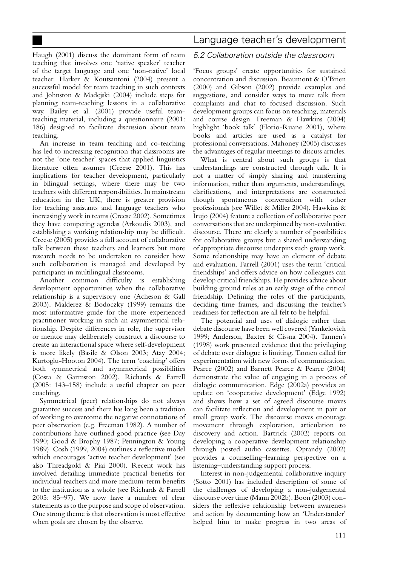## Language teacher's development

Haugh (2001) discuss the dominant form of team teaching that involves one 'native speaker' teacher of the target language and one 'non-native' local teacher. Harker & Koutsantoni (2004) present a successful model for team teaching in such contexts and Johnston & Madejski (2004) include steps for planning team-teaching lessons in a collaborative way. Bailey et al. (2001) provide useful teamteaching material, including a questionnaire (2001: 186) designed to facilitate discussion about team teaching.

An increase in team teaching and co-teaching has led to increasing recognition that classrooms are not the 'one teacher' spaces that applied linguistics literature often assumes (Creese 2001). This has implications for teacher development, particularly in bilingual settings, where there may be two teachers with different responsibilities. In mainstream education in the UK, there is greater provision for teaching assistants and language teachers who increasingly work in teams (Creese 2002). Sometimes they have competing agendas (Arkoudis 2003), and establishing a working relationship may be difficult. Creese (2005) provides a full account of collaborative talk between these teachers and learners but more research needs to be undertaken to consider how such collaboration is managed and developed by participants in multilingual classrooms.

Another common difficulty is establishing development opportunities when the collaborative relationship is a supervisory one (Acheson & Gall 2003). Malderez & Bodoczky (1999) remains the most informative guide for the more experienced practitioner working in such an asymmetrical relationship. Despite differences in role, the supervisor or mentor may deliberately construct a discourse to create an interactional space where self-development is more likely (Basile & Olson 2003; Atay 2004; Kurtoglu-Hooton 2004). The term 'coaching' offers both symmetrical and asymmetrical possibilities (Costa & Garmston 2002). Richards & Farrell (2005: 143–158) include a useful chapter on peer coaching.

Symmetrical (peer) relationships do not always guarantee success and there has long been a tradition of working to overcome the negative connotations of peer observation (e.g. Freeman 1982). A number of contributions have outlined good practice (see Day 1990; Good & Brophy 1987; Pennington & Young 1989). Cosh (1999, 2004) outlines a reflective model which encourages 'active teacher development' (see also Threadgold & Piai 2000). Recent work has involved detailing immediate practical benefits for individual teachers and more medium-term benefits to the institution as a whole (see Richards & Farrell 2005: 85–97). We now have a number of clear statements as to the purpose and scope of observation. One strong theme is that observation is most effective when goals are chosen by the observe.

#### 5.2 Collaboration outside the classroom

'Focus groups' create opportunities for sustained concentration and discussion. Beaumont & O'Brien (2000) and Gibson (2002) provide examples and suggestions, and consider ways to move talk from complaints and chat to focused discussion. Such development groups can focus on teaching, materials and course design. Freeman & Hawkins (2004) highlight 'book talk' (Florio-Ruane 2001), where books and articles are used as a catalyst for professional conversations. Mahoney (2005) discusses the advantages of regular meetings to discuss articles.

What is central about such groups is that understandings are constructed through talk. It is not a matter of simply sharing and transferring information, rather than arguments, understandings, clarifications, and interpretations are constructed though spontaneous conversation with other professionals (see Willet & Miller 2004). Hawkins & Irujo (2004) feature a collection of collaborative peer conversations that are underpinned by non-evaluative discourse. There are clearly a number of possibilities for collaborative groups but a shared understanding of appropriate discourse underpins such group work. Some relationships may have an element of debate and evaluation. Farrell (2001) uses the term 'critical friendships' and offers advice on how colleagues can develop critical friendships. He provides advice about building ground rules at an early stage of the critical friendship. Defining the roles of the participants, deciding time frames, and discussing the teacher's readiness for reflection are all felt to be helpful.

The potential and uses of dialogic rather than debate discourse have been well covered (Yankelovich 1999; Anderson, Baxter & Cissna 2004). Tannen's (1998) work presented evidence that the privileging of debate over dialogue is limiting. Tannen called for experimentation with new forms of communication. Pearce (2002) and Barnett Pearce & Pearce (2004) demonstrate the value of engaging in a process of dialogic communication. Edge (2002a) provides an update on 'cooperative development' (Edge 1992) and shows how a set of agreed discourse moves can facilitate reflection and development in pair or small group work. The discourse moves encourage movement through exploration, articulation to discovery and action. Bartrick (2002) reports on developing a cooperative development relationship through posted audio cassettes. Oprandy (2002) provides a counselling–learning perspective on a listening–understanding support process.

Interest in non-judgemental collaborative inquiry (Sotto 2001) has included description of some of the challenges of developing a non-judgemental discourse over time (Mann 2002b). Boon (2003) considers the reflexive relationship between awareness and action by documenting how an 'Understander' helped him to make progress in two areas of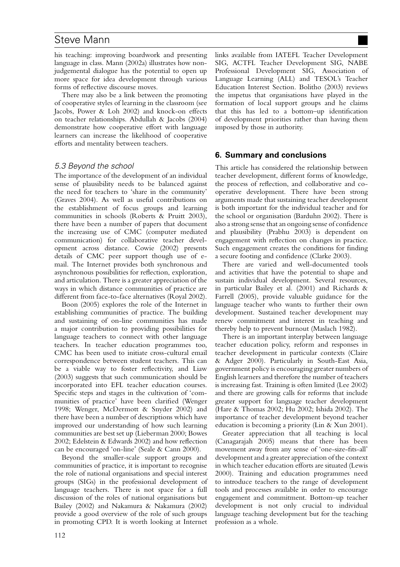his teaching: improving boardwork and presenting language in class. Mann (2002a) illustrates how nonjudgemental dialogue has the potential to open up more space for idea development through various forms of reflective discourse moves.

There may also be a link between the promoting of cooperative styles of learning in the classroom (see Jacobs, Power & Loh 2002) and knock-on effects on teacher relationships. Abdullah & Jacobs (2004) demonstrate how cooperative effort with language learners can increase the likelihood of cooperative efforts and mentality between teachers.

## 5.3 Beyond the school

The importance of the development of an individual sense of plausibility needs to be balanced against the need for teachers to 'share in the community' (Graves 2004). As well as useful contributions on the establishment of focus groups and learning communities in schools (Roberts & Pruitt 2003), there have been a number of papers that document the increasing use of CMC (computer mediated communication) for collaborative teacher development across distance. Cowie (2002) presents details of CMC peer support though use of email. The Internet provides both synchronous and asynchronous possibilities for reflection, exploration, and articulation. There is a greater appreciation of the ways in which distance communities of practice are different from face-to-face alternatives (Royal 2002).

Boon (2005) explores the role of the Internet in establishing communities of practice. The building and sustaining of on-line communities has made a major contribution to providing possibilities for language teachers to connect with other language teachers. In teacher education programmes too, CMC has been used to initiate cross-cultural email correspondence between student teachers. This can be a viable way to foster reflectivity, and Liaw (2003) suggests that such communication should be incorporated into EFL teacher education courses. Specific steps and stages in the cultivation of 'communities of practice' have been clarified (Wenger 1998; Wenger, McDermott & Snyder 2002) and there have been a number of descriptions which have improved our understanding of how such learning communities are best set up (Lieberman 2000; Bowes 2002; Edelstein & Edwards 2002) and how reflection can be encouraged 'on-line' (Seale & Cann 2000).

Beyond the smaller-scale support groups and communities of practice, it is important to recognise the role of national organisations and special interest groups (SIGs) in the professional development of language teachers. There is not space for a full discussion of the roles of national organisations but Bailey (2002) and Nakamura & Nakamura (2002) provide a good overview of the role of such groups in promoting CPD. It is worth looking at Internet links available from IATEFL Teacher Development SIG, ACTFL Teacher Development SIG, NABE Professional Development SIG, Association of Language Learning (ALL) and TESOL's Teacher Education Interest Section. Bolitho (2003) reviews the impetus that organisations have played in the formation of local support groups and he claims that this has led to a bottom–up identification of development priorities rather than having them imposed by those in authority.

## **6. Summary and conclusions**

This article has considered the relationship between teacher development, different forms of knowledge, the process of reflection, and collaborative and cooperative development. There have been strong arguments made that sustaining teacher development is both important for the individual teacher and for the school or organisation (Barduhn 2002). There is also a strong sense that an ongoing sense of confidence and plausibility (Prabhu 2003) is dependent on engagement with reflection on changes in practice. Such engagement creates the conditions for finding a secure footing and confidence (Clarke 2003).

There are varied and well-documented tools and activities that have the potential to shape and sustain individual development. Several resources, in particular Bailey et al. (2001) and Richards & Farrell (2005), provide valuable guidance for the language teacher who wants to further their own development. Sustained teacher development may renew commitment and interest in teaching and thereby help to prevent burnout (Maslach 1982).

There is an important interplay between language teacher education policy, reform and responses in teacher development in particular contexts (Claire & Adger 2000). Particularly in South-East Asia, government policy is encouraging greater numbers of English learners and therefore the number of teachers is increasing fast. Training is often limited (Lee 2002) and there are growing calls for reforms that include greater support for language teacher development (Hare & Thomas 2002; Hu 2002; Ishida 2002). The importance of teacher development beyond teacher education is becoming a priority (Lin & Xun 2001).

Greater appreciation that all teaching is local (Canagarajah 2005) means that there has been movement away from any sense of 'one-size-fits-all' development and a greater appreciation of the context in which teacher education efforts are situated (Lewis 2000). Training and education programmes need to introduce teachers to the range of development tools and processes available in order to encourage engagement and commitment. Bottom–up teacher development is not only crucial to individual language teaching development but for the teaching profession as a whole.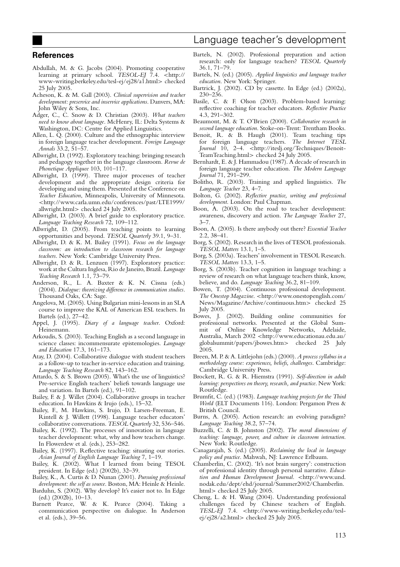#### **References**

- Abdullah, M. & G. Jacobs (2004). Promoting cooperative learning at primary school. *TESOL-EJ* 7.4. *<*http:// www-writing.berkeley.edu/tesl-ej/ej28/a1.html*>* checked 25 July 2005.
- Acheson, K. & M. Gall (2003). *Clinical supervision and teacher development: preservice and inservice applications*. Danvers, MA: John Wiley & Sons, Inc.
- Adger, C., C. Snow & D. Christian (2003). *What teachers need to know about language*. McHenry, IL: Delta Systems & Washington, DC: Centre for Applied Linguistics.
- Allen, L. Q. (2000). Culture and the ethnographic interview in foreign language teacher development. *Foreign Language Annals* 33.2, 51–57.
- Allwright, D. (1992). Exploratory teaching: bringing research and pedagogy together in the language classroom. *Revue de Phonetique Appliquee* 103, 101–117.
- Allwright, D. (1999). Three major processes of teacher development and the appropriate design criteria for developing and using them. Presented at the Conference on *Teacher Education*, Minneapolis, University of Minnesota. *<*http://www.carla.umn.edu/conferences/past/LTE1999/ allwright.html*>* checked 24 July 2005.
- Allwright, D. (2003). A brief guide to exploratory practice. *Language Teaching Research* 72, 109–112.
- Allwright, D. (2005). From teaching points to learning opportunities and beyond. *TESOL Quarterly* 39.1, 9–31.
- Allwright, D. & K. M. Bailey (1991). *Focus on the language classroom: an introduction to classroom research for language teachers*. New York: Cambridge University Press.
- Allwright, D. & R. Lenzuen (1997). Exploratory practice: work at the Cultura Inglesa, Rio de Janeiro, Brazil. *Language Teaching Research* 1.1, 73–79.
- Anderson, R., L. A. Baxter & K. N. Cissna (eds.) (2004). *Dialogue: theorizing difference in communication studies*. Thousand Oaks, CA: Sage.
- Angelova, M. (2005). Using Bulgarian mini-lessons in an SLA course to improve the KAL of American ESL teachers. In Bartels (ed.), 27–42.
- Appel, J. (1995). *Diary of a language teacher*. Oxford: Heinemann.
- Arkoudis, S. (2003). Teaching English as a second language in science classes: incommensurate epistemologies. *Language and Education* 17.3, 161–173.
- Atay, D. (2004). Collaborative dialogue with student teachers as a follow-up to teacher in-service education and training. *Language Teaching Research* 82, 143–162.
- Attardo, S. & S. Brown (2005). What's the use of linguistics? Pre-service English teachers' beliefs towards language use and variation. In Bartels (ed.), 91–102.
- Bailey, F. & J. Willet (2004). Collaborative groups in teacher education. In Hawkins & Irujo (eds.), 15–32.
- Bailey, F., M. Hawkins, S. Irujo, D. Larsen-Freeman, E. Rintell & J. Willett (1998). Language teacher educators' collaborative conversations. *TESOL Quarterly* 32, 536–546.
- Bailey, K. (1992). The processes of innovation in language teacher development: what, why and how teachers change. In Flowerdew et al. (eds.), 253–282.
- Bailey, K. (1997). Reflective teaching: situating our stories. *Asian Journal of English Language Teaching* 7, 1–19.
- Bailey, K. (2002). What I learned from being TESOL president. In Edge (ed.) (2002b), 32–39.
- Bailey, K., A. Curtis & D. Nunan (2001). *Pursuing professional development: the self as source*. Boston, MA: Heinle & Heinle.
- Barduhn, S. (2002). Why develop? It's easier not to. In Edge (ed.) (2002b), 10–13.
- Barnett Pearce, W. & K. Pearce (2004). Taking a communication perspective on dialogue. In Anderson et al. (eds.), 39–56.
- Bartels, N. (2002). Professional preparation and action research: only for language teachers? *TESOL Quarterly* 36.1, 71–79.
- Bartels, N. (ed.) (2005). *Applied linguistics and language teacher education*. New York: Springer.
- Bartrick, J. (2002). CD by cassette. In Edge (ed.) (2002a), 230–236.
- Basile, C. & F. Olson (2003). Problem-based learning: reflective coaching for teacher educators. *Reflective Practice* 4.3, 291–302.
- Beaumont, M. & T. O'Brien (2000). *Collaborative research in second language education*. Stoke-on-Trent: Trentham Books.
- Benoit, R. & B. Haugh (2001). Team teaching tips for foreign language teachers. *The Internet TESL Journal* 10, 2–4. *<*http://iteslj.org/Techniques/Benoit-TeamTeaching.html*>* checked 24 July 2005.
- Bernhardt, E. & J. Hammadou (1987). A decade of research in foreign language teacher education. *The Modern Language Journal* 71, 291–299.
- Bolitho, R. (2003). Training and applied linguistics. *The Language Teacher* 23, 4–7.
- Bolton, G. (2002). *Reflective practice, writing and professional development*. London: Paul Chapman.
- Boon, A. (2003). On the road to teacher development: awareness, discovery and action. *The Language Teacher* 27, 3–7.
- Boon, A. (2005). Is there anybody out there? *Essential Teacher* 2.2, 38–41.
- Borg, S. (2002). Research in the lives of TESOL professionals. *TESOL Matters* 13.1, 1–5.
- Borg, S. (2003a). Teachers' involvement in TESOL Research. *TESOL Matters* 13.3, 1–5.
- Borg, S. (2003b). Teacher cognition in language teaching: a review of research on what language teachers think, know, believe, and do. *Language Teaching* 36.2, 81–109.
- Bowen, T. (2004). Continuous professional development. *The Onestop Magazine*. *<*http://www.onestopenglish.com/ News/Magazine/Archive/continuous.htm*>* checked 25 July 2005.
- Bowes, J. (2002). Building online communities for professional networks. Presented at the Global Summit of Online Knowledge Networks, Adelaide, Australia, March 2002 *<*http://www.educationau.edu.au/ globalsummit/papers/jbowes.htm*>* checked 25 July 2005.
- Breen, M. P. & A. Littlejohn (eds.) (2000). *A process syllabus in a methodology course: experiences, beliefs, challenges*. Cambridge: Cambridge University Press.
- Brockett, R. G. & R. Hiemstra (1991). *Self-direction in adult learning: perspectives on theory, research, and practice*. New York: Routledge.
- Brumfit, C. (ed.) (1983). *Language teaching projects for the Third World* (ELT Documents 116). London: Pergamon Press & British Council.
- Burns, A. (2005). Action research: an evolving paradigm? *Language Teaching* 38.2, 57–74.
- Buzzelli, C. & B. Johnston (2002). *The moral dimensions of teaching: language, power, and culture in classroom interaction*. New York: Routledge.
- Canagarajah, S. (ed.) (2005). *Reclaiming the local in language policy and practice*. Mahwah, NJ: Lawrence Erlbaum.
- Chamberlin, C. (2002). 'It's not brain surgery': construction of professional identity through personal narrative. *Education and Human Development Journal. <*http://www.und. nodak.edu/dept/ehd/journal/Summer2002/Chamberlin. html*>* checked 25 July 2005.
- Cheng, L. & H. Wang (2004). Understanding professional challenges faced by Chinese teachers of English. *TESL-EJ* 7.4. *<*http://www-writing.berkeley.edu/teslej/ej28/a2.html*>* checked 25 July 2005.

## Language teacher's development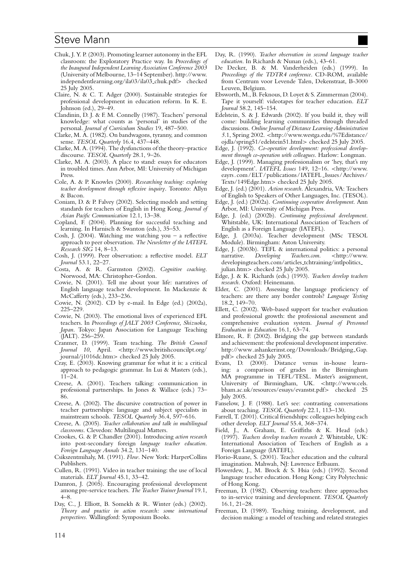- Chuk, J. Y. P. (2003). Promoting learner autonomy in the EFL classroom: the Exploratory Practice way. In *Proceedings of the Inaugural Independent Learning Association Conference 2003* (University of Melbourne, 13–14 September). http://www. independentlearning.org/ila03/ila03 chuk.pdf*>* checked 25 July 2005.
- Claire, N. & C. T. Adger (2000). Sustainable strategies for professional development in education reform. In K. E. Johnson (ed.), 29–49.
- Clandinin, D. J. & F. M. Connelly (1987). Teachers' personal knowledge: what counts as 'personal' in studies of the personal. *Journal of Curriculum Studies* 19, 487–500.
- Clarke, M. A. (1982). On bandwagons, tyranny, and common sense. *TESOL Quarterly* 16.4, 437–448.
- Clarke, M. A. (1994). The dysfunctions of the theory–practice discourse. *TESOL Quarterly* 28.1, 9–26.
- Clarke, M. A. (2003). A place to stand: essays for educators in troubled times. Ann Arbor, MI: University of Michigan Press.
- Cole, A. & P. Knowles (2000). *Researching teaching: exploring teacher development through reflexive inquiry*. Toronto: Allyn & Bacon.
- Coniam, D. & P. Falvey (2002). Selecting models and setting standards for teachers of English in Hong Kong. *Journal of Asian Pacific Communication* 12.1, 13–38.
- Copland, F. (2004). Planning for successful teaching and learning. In Harnisch & Swanton (eds.), 35–53.
- Cosh, J. (2004). Watching me watching you a reflective approach to peer observation. *The Newsletter of the IATEFL Research SIG* 14, 8–13.
- Cosh, J. (1999). Peer observation: a reflective model. *ELT Journal* 53.1, 22–27.
- Costa, A. & R. Garmston (2002). *Cognitive coaching*. Norwood, MA: Christopher-Gordon.
- Cowie, N. (2001). Tell me about your life: narratives of English language teacher development. In Mackenzie & McCafferty (eds.), 233–236.
- Cowie, N. (2002). CD by e-mail. In Edge (ed.) (2002a), 225–229.
- Cowie, N. (2003). The emotional lives of experienced EFL teachers. In *Proceedings of JALT 2003 Conference, Shizuoka, Japan*. Tokyo: Japan Association for Language Teaching (JALT). 256–259.
- Cranmer, D. (1999). Team teaching. *The British Council Journal 10*, April. *<*http://www.britishcouncilpt.org/ journal/j1016dc.htm*>* checked 25 July 2005.
- Cray, E. (2003). Knowing grammar for what it is: a critical approach to pedagogic grammar. In Lui & Masters (eds.), 11–24.
- Creese, A. (2001). Teachers talking: communication in professional partnerships. In Jones & Wallace (eds.) 73– 86.
- Creese, A. (2002). The discursive construction of power in teacher partnerships: language and subject specialists in mainstream schools. *TESOL Quarterly* 36.4, 597–616.
- Creese, A. (2005). *Teacher collaboration and talk in multilingual classrooms*. Clevedon: Multilingual Matters.
- Crookes, G. & P. Chandler (2001). Introducing *action research* into post-secondary foreign *language teacher education*. *Foreign Language Annals* 34.2, 131–140.
- Csikszentmihaly, M. (1991). *Flow*. New York: HarperCollins Publishers.
- Cullen, R. (1991). Video in teacher training: the use of local materials. *ELT Journal* 45.1, 33–42.
- Damron, J. (2005). Encouraging professional development among pre-service teachers. *The Teacher Trainer Journal* 19.1, 4–8.
- Day, C., J. Elliott, B. Somekh & R. Winter (eds.) (2002). *Theory and practice in action research: some international perspectives*. Wallingford: Symposium Books.
- Day, R. (1990). *Teacher observation in second language teacher education*. In Richards & Nunan (eds.), 43–61.
- De Decker, B. & M. Vanderheiden (eds.) (1999). In *Proceedings of the TDTR4 conference*. CD-ROM, available from Centrum voor Levende Talen, Dekenstraat, B-3000 Leuven, Belgium.
- Ebsworth, M., B. Feknous, D. Loyet & S. Zimmerman (2004). Tape it yourself: videotapes for teacher education. *ELT Journal* 58.2, 145–154.
- Edelstein, S. & J. Edwards (2002). If you build it, they will come: building learning communities through threaded discussions. *Online Journal of Distance Learning Administration 5*.1, Spring 2002. *<*http://www.westga.edu/%7Edistance/ ojdla/spring51/edelstein51.html*>* checked 25 July 2005.
- Edge, J. (1992). *Co-operative development: professional development through co-operation with colleagues*. Harlow: Longman.
- Edge, J. (1999). Managing professionalism or 'hey, that's my development'. *IATEFL Issues* 149, 12–16. *<*http://www. eayrs.com/ELT/publications/IATEFL Issues/Archives/ Texts/149Edge.htm*>* checked 25 July 2005.
- Edge, J. (ed.) (2001). *Action research*. Alexandria, VA: Teachers of English to Speakers of Other Languages, Inc. (TESOL).
- Edge, J. (ed.) (2002a). *Continuing cooperative development*. Ann Arbor, MI: University of Michigan Press.
- Edge, J. (ed.) (2002b). *Continuing professional development*. Whitstable, UK: International Association of Teachers of English as a Foreign Language (IATEFL).
- Edge, J. (2003a). Teacher development (MSc TESOL Module). Birmingham: Aston University.
- Edge, J. (2003b). TEFL & international politics: a personal narrative. Developing Teachers.com. <http://www.  $rac{1}{2}$  *Developing Teachers.com.* developingteachers.com/articles tchtraining/intlpolitics julian.htm*>* checked 25 July 2005.
- Edge, J. & K. Richards (eds.) (1993). *Teachers develop teachers research*. Oxford: Heinemann.
- Elder, C. (2001). Assessing the language proficiency of teachers: are there any border controls? *Language Testing* 18.2, 149–70.
- Ellett, C. (2002). Web-based support for teacher evaluation and professional growth: the professional assessment and comprehensive evaluation system. *Journal of Personnel Evaluation in Education* 16.1, 63–74.
- Elmore, R. F. (2002). Bridging the gap between standards and achievement: the professional development imperative. http://www.ashankerinst.org/Downloads/Bridging\_Gap. pdf*>* checked 25 July 2005.
- Evans, D. (2000). Distance versus in-house learning: a comparison of grades in the Birmingham MA programme in TEFL/TESL. Master's assignment, University of Birmingham, UK. *<*http://www.cels. bham.ac.uk/resources/essays/evanstst.pdf*>* checked 25 July 2005.
- Fanselow, J. F. (1988). Let's see: contrasting conversations about teaching. *TESOL Quarterly* 22.1, 113–130.
- Farrell, T. (2001). Critical friendships: colleagues helping each other develop. *ELT Journal* 55.4, 368–374.
- Field, J., A. Graham, E. Griffiths & K. Head (eds.) (1997). *Teachers develop teachers research 2*. Whitstable, UK: International Association of Teachers of English as a Foreign Language (IATEFL).
- Florio-Ruane, S. (2001). Teacher education and the cultural imagination. Mahwah, NJ: Lawrence Erlbaum.
- Flowerdew, J., M. Brock & S. Hsia (eds.) (1992). Second language teacher education. Hong Kong: City Polytechnic of Hong Kong.
- Freeman, D. (1982). Observing teachers: three approaches to in-service training and development. *TESOL Quarterly* 16.1, 21–28.
- Freeman, D. (1989). Teaching training, development, and decision making: a model of teaching and related strategies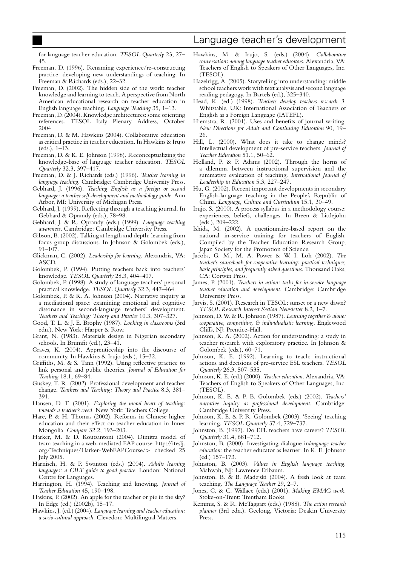for language teacher education. *TESOL Quarterly* 23, 27– 45.

- Freeman, D. (1996). Renaming experience/re-constructing practice: developing new understandings of teaching. In Freeman & Richards (eds.), 22–32.
- Freeman, D. (2002). The hidden side of the work: teacher knowledge and learning to teach. A perspective from North American educational research on teacher education in English language teaching. *Language Teaching* 35, 1–13.
- Freeman, D. (2004). Knowledge architectures: some orienting references. TESOL Italy Plenary Address, October 2004
- Freeman, D. & M. Hawkins (2004). Collaborative education as critical practice in teacher education. In Hawkins & Irujo (eds.), 1–13.
- Freeman, D. & K. E. Johnson (1998). Reconceptualizing the knowledge-base of language teacher education. *TESOL Quarterly* 32.3, 397–417.
- Freeman, D. & J. Richards (eds.) (1996). *Teacher learning in language teaching*. Cambridge: Cambridge University Press.
- Gebhard, J. (1996). *Teaching English as a foreign or second language: a teacher self-development and methodology guide*. Ann Arbor, MI: University of Michigan Press.
- Gebhard, J. (1999). Reflecting through a teaching journal. In Gebhard & Oprandy (eds.), 78–98.
- Gebhard, J. & R. Oprandy (eds.) (1999). *Language teaching awareness*. Cambridge: Cambridge University Press.
- Gibson, B. (2002). Talking at length and depth: learning from focus group discussions. In Johnson & Golombek (eds.), 91–107.
- Glickman, C. (2002). *Leadership for learning*. Alexandria, VA: ASCD.
- Golombek, P. (1994). Putting teachers back into teachers' knowledge. *TESOL Quarterly* 28.3, 404–407.
- Golombek, P. (1998). A study of language teachers' personal practical knowledge. *TESOL Quarterly* 32.3, 447–464.
- Golombek, P. & K. A. Johnson (2004). Narrative inquiry as a mediational space: examining emotional and cognitive dissonance in second-language teachers' development. *Teachers and Teaching: Theory and Practice* 10.3, 307–327.
- Good, T. L. & J. E. Brophy (1987). *Looking in classrooms* (3rd edn.). New York: Harper & Row.
- Grant, N. (1983). Materials design in Nigerian secondary schools. In Brumfit (ed.), 23–41.
- Graves, K. (2004). Apprenticeship into the discourse of community. In Hawkins & Irujo (eds.), 15–32.
- Griffiths, M. & S. Tann (1992). Using reflective practice to link personal and public theories. *Journal of Education for Teaching* 18.1, 69–84.
- Guskey, T. R. (2002). Professional development and teacher change. *Teachers and Teaching: Theory and Practice* 8.3, 381– 391.
- Hansen, D. T. (2001). *Exploring the moral heart of teaching: towards a teacher's creed*. New York: Teachers College.
- Hare, P. & H. Thomas (2002). Reforms in Chinese higher education and their effect on teacher education in Inner Mongolia. *Compare* 32.2, 193–203.
- Harker, M. & D. Koutsantoni (2004). Dimitra model of team teaching in a web-mediated EAP course. http://iteslj. org/Techniques/Harker-WebEAPCourse/*>* checked 25 July 2005.
- Harnisch, H. & P. Swanton (eds.) (2004). *Adults learning languages: a CILT guide to good practice*. London: National Centre for Languages.
- Harrington, H. (1994). Teaching and knowing. *Journal of Teacher Education* 45, 190–198.
- Haskins, P. (2002). An apple for the teacher or pie in the sky? In Edge (ed.) (2002b), 15–17.
- Hawkins, J. (ed.) (2004). *Language learning and teacher education: a socio-cultural approach*. Clevedon: Multilingual Matters.
- Hawkins, M. & Irujo, S. (eds.) (2004). *Collaborative conversations among language teacher educators*. Alexandria, VA: Teachers of English to Speakers of Other Languages, Inc. (TESOL).
- Hazelrigg, A. (2005). Storytelling into understanding: middle school teachers work with text analysis and second language reading pedagogy. In Bartels (ed.), 325–340.
- Head, K. (ed.) (1998). *Teachers develop teachers research 3*. Whitstable, UK: International Association of Teachers of English as a Foreign Language (IATEFL).
- Hiemstra, R. (2001). Uses and benefits of journal writing. *New Directions for Adult and Continuing Education* 90, 19– 26.
- Hill, L. (2000). What does it take to change minds? Intellectual development of pre-service teachers. *Journal of Teacher Education* 51.1, 50–62.
- Holland, P. & P. Adams (2002). Through the horns of a dilemma between instructional supervision and the summative evaluation of teaching. *International Journal of Leadership in Education* 5.3, 227–247.
- Hu, G. (2002). Recent important developments in secondary English-language teaching in the People's Republic of China. *Language, Culture and Curriculum* 15.1, 30–49.
- Irujo, S. (2000). A process syllabus in a methodology course: experiences, beliefs, challenges. In Breen & Littlejohn (eds.), 209–222.
- Ishida, M. (2002). A questionnaire-based report on the national in-service training for teachers of English. Compiled by the Teacher Education Research Group, Japan Society for the Promotion of Science.
- Jacobs, G. M., M. A. Power & W. I. Loh (2002). *The teacher's sourcebook for cooperative learning: practical techniques, basic principles, and frequently asked questions*. Thousand Oaks, CA: Corwin Press.
- James, P. (2001). *Teachers in action: tasks for in-service language teacher education and development*. Cambridge: Cambridge University Press.
- Jarvis, S. (2001). Research in TESOL: sunset or a new dawn? *TESOL Research Interest Section Newsletter* 8.2, 1–7.
- Johnson, D. W. & R. Johnson (1987). *Learning together & alone: cooperative, competitive, & individualistic learning*. Englewood Cliffs, NJ: Prentice-Hall.
- Johnson, K. A. (2002). Action for understanding: a study in teacher research with exploratory practice. In Johnson & Golombek (eds.), 60–71.
- Johnson, K. E. (1992). Learning to teach: instructional actions and decisions of pre-service ESL teachers. *TESOL Quarterly* 26.3, 507–535.
- Johnson, K. E. (ed.) (2000). *Teacher education*. Alexandria, VA: Teachers of English to Speakers of Other Languages, Inc. (TESOL).
- Johnson, K. E. & P. B. Golombek (eds.) (2002). *Teachers' narrative inquiry as professional development*. Cambridge: Cambridge University Press.
- Johnson, K. E. & P. R. Golombek (2003). 'Seeing' teaching learning. *TESOL Quarterly* 37.4, 729–737.
- Johnston, B. (1997). Do EFL teachers have careers? *TESOL Quarterly* 31.4, 681–712.
- Johnston, B. (2000). Investigating dialogue in*language teacher education*: the teacher educator as learner. In K. E. Johnson (ed.) 157–173.
- Johnston, B. (2003). *Values in English language teaching*. Mahwah, NJ: Lawrence Erlbaum.
- Johnston, B. & B. Madejski (2004). A fresh look at team teaching. *The Language Teacher* 29, 2–7.
- Jones, C. & C. Wallace (eds.) (2001). *Making EMAG work*. Stoke-on-Trent: Trentham Books.
- Kemmis, S. & R. McTaggart (eds.) (1988). *The action research planner* (3rd edn.). Geelong, Victoria: Deakin University Press.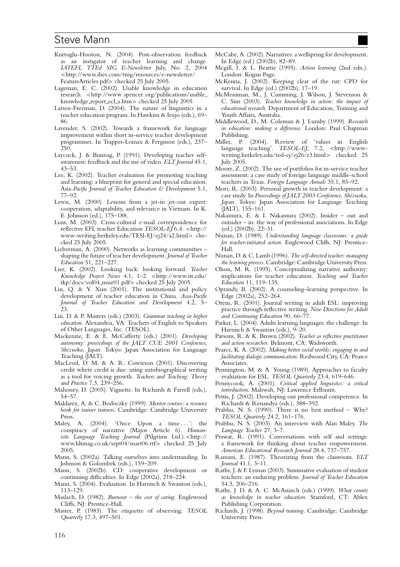- Kurtoglu-Hooton, N. (2004). Post-observation feedback as an instigator of teacher learning and change. *IATEFL TTEd SIG E-Newsletter* July, No. 2, 2004 *<*http://www.ihes.com/ttsig/resources/e-newsletter/ FeatureArticles.pdf*>* checked 25 July 2005.
- Lageman, E. C. (2002). Usable knowledge in education research. *<*http://www.spencer.org/publications/usable knowledge report ecl a.htm*>* checked 25 July 2005
- Larsen-Freeman, D. (2004). The nature of linguistics in a teacher education program. In Hawkins & Irujo (eds.), 69– 86.
- Lavender, S. (2002). Towards a framework for language improvement within short in-service teacher development programmes. In Trappes-Lomax & Ferguson (eds.), 237– 250.
- Laycock, J. & Bunnag, P. (1991). Developing teacher selfawareness: feedback and the use of video. *ELT Journal* 45.1, 43–53.
- Lee, K. (2002). Teacher evaluation for promoting teaching and learning: a blueprint for general and special education. Asia*-Pacific Journal of Teacher Education & Development* 5.1, 77–92.
- Lewis, M. (2000). Lessons from a jet-in jet-out expert: cooperation, adaptability, and relevance in Vietnam. In K. E. Johnson (ed.), 175–188.
- Liaw, M. (2003). Cross-cultural e-mail correspondence for reflective EFL teacher Education *TESOL-EJ* 6.4. *<*http:// www-writing.berkeley.edu/TESl-EJ/ej24/a2.html*>* checked 25 July 2005.
- Lieberman, A. (2000). Networks as learning communities shaping the future of teacher development. *Journal of Teacher Education* 51, 221–227.
- Lier, K. (2002). Looking back: looking forward. *Teacher Knowledge Project News* 4.1, 1–2. *<*http://www.sit.edu/ tkp/docs/vol04 issue01.pdf*>* checked 25 July 2005.
- Lin, Q. & Y. Xun (2001). The institutional and policy development of teacher education in China. *Asia-Pacific Journal of Teacher Education and Development* 4.2, 5– 23.
- Lui, D. & P. Masters (eds.) (2003). *Grammar teaching in higher education*. Alexandria, VA: Teachers of English to Speakers of Other Languages, Inc. (TESOL).
- Mackenzie, E. & E. McCafferty (eds.) (2001). *Developing autonomy: proceedings of the JALT CUE 2001 Conference, Shizuoka, Japan*. Tokyo: Japan Association for Language Teaching (JALT).
- MacLeod, D. M. & A. R. Cowieson (2001). Discovering credit where credit is due: using autobiographical writing as a tool for voicing growth. *Teachers and Teaching: Theory and Practice* 7.3, 239–256.
- Mahoney, D. (2005). Vignette. In Richards & Farrell (eds.), 54–57.
- Maldarez, A. & C. Bodoczky (1999). *Mentor courses: a resource book for trainer trainers*. Cambridge: Cambridge University Press.
- Maley, A. (2004). 'Once Upon a time *...* ': the conspiracy of narrative (Major Article 6). *Humanistic Language Teaching Journal* (Pilgrims Ltd.).*<*http:// www.hltmag.co.uk/sept04/mart06.rtf*>* checked 25 July 2005.
- Mann, S. (2002a). Talking ourselves into understanding. In Johnson & Golombek (eds.), 159–209.
- Mann, S. (2002b). CD: cooperative development or continuing difficulties. In Edge (2002a), 218–224.
- Mann, S. (2004). Evaluation. In Harnisch & Swanton (eds.), 113–129.
- Maslach, D. (1982). *Burnout the cost of caring*. Englewood Cliffs, NJ: Prentice-Hall.
- Master, P. (1983). The etiquette of observing. *TESOL Quarterly* 17.3, 497–501.
- McCabe, A. (2002). Narratives: a wellspring for development. In Edge (ed.) (2002b), 82–89.
- Mcgill, I. & L. Beattie (1995). *Action learning* (2nd edn.). London: Kogan Page.
- McKenna, J. (2002). Keeping clear of the rut: CPD for survival. In Edge (ed.) (2002b), 17–19.
- McMeniman, M., J. Cumming, J. Wilson, J. Stevenson & C. Sim (2003). *Teacher knowledge in action: the impact of educational research*. Department of Education, Training and Youth Affairs, Australia.
- Middlewood, D., M. Coleman & J. Lumby (1999). *Research in education: making a difference*. London: Paul Chapman Publishing.
- Miller, P. (2004). Review of 'values in English language teaching'. *TESOL-EJ*, 7.2, *<*http://wwwwriting.berkeley.edu/tesl-ej/ej26/r3.html*>* checked 25 July 2005.
- Moore, Z. (2002). The use of portfolios for in-service teacher assessment: a case study of foreign language middle-school teachers in Texas. *Foreign Language Annals* 35.1, 85–92.
- Mori, R. (2003). Personal growth in teacher development: a case study. In *Proceedings of JALT 2003 Conference, Shizuoka, Japan*. Tokyo: Japan Association for Language Teaching (JALT). 155–161.
- Nakamura, E. & I. Nakamura (2002). Insider out and outsider – in: the way of professional associations. In Edge (ed.) (2002b), 22–31.
- Nunan, D. (1989). *Understanding language classrooms: a guide for teacher-initiated action*. Englewood Cliffs, NJ: Prentice-Hall.
- Nunan, D. & C. Lamb (1996). *The self-directed teacher: managing the learning process*. Cambridge: Cambridge University Press.
- Olson, M. R. (1995). Conceptualizing narrative authority: implications for teacher education. *Teaching and Teacher Education* 11, 119–135.
- Oprandy, B. (2002). A counseling–learning perspective. In Edge (2002a), 252–264.
- Orem, R. (2001). Journal writing in adult ESL: improving practice through reflective writing. *New Directions for Adult and Continuing Education* 90, 66–77.
- Parker, L. (2004). Adults learning languages: the challenge. In Harnisch & Swanton (eds.), 9–20.
- Parsons, R. & K. Brown (2002). *Teacher as reflective practitioner and action researcher*. Belmont, CA: Wadsworth.
- Pearce, K. A. (2002). *Making better social worlds: engaging in and facilitating dialogic communication*. Redwood City, CA: Pearce Associates.
- Pennington, M. & A. Young (1989). Approaches to faculty evaluation for ESL. *TESOL Quarterly* 23.4, 619–646.
- Pennycook, A. (2001). *Critical applied linguistics: a critical introduction*. Mahwah, NJ: Lawrence Erlbaum.
- Pettis, J. (2002). Developing our professional competence. In Richards & Renandya (eds.), 388–392.
- Prabhu, N. S. (1990). There is no best method Why? *TESOL Quarterly* 24.2, 161–176.
- Prabhu, N. S. (2003). An interview with Alan Maley. *The Language Teacher* 27, 3–7.
- Prawat, R. (1991). Conversations with self and settings: a framework for thinking about teacher empowerment. *American Educational Research Journal* 28.4, 737–757.
- Ramani, E. (1987). Theorizing from the classroom. *ELT Journal* 41.1, 3–11.
- Raths, J. & F. Lyman (2003). Summative evaluation of student teachers: an enduring problem. *Journal of Teacher Education* 54.3, 206–216.
- Raths, J. D. & A. C. McAninch (eds.) (1999). *What counts as knowledge in teacher education*. Stamford, CT: Ablex Publishing Corporation.
- Richards, J. (1998). *Beyond training*. Cambridge: Cambridge University Press.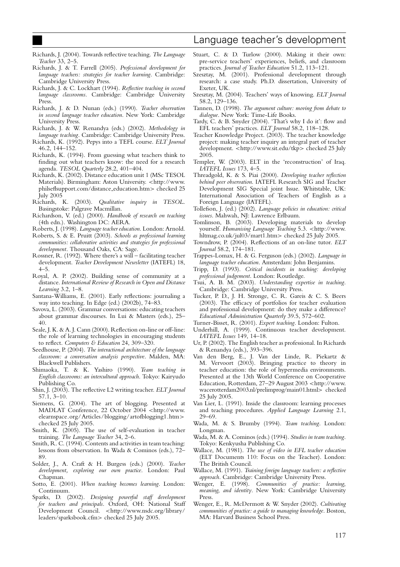- Richards, J. (2004). Towards reflective teaching. *The Language Teacher* 33, 2–5.
- Richards, J. & T. Farrell (2005). *Professional development for language teachers: strategies for teacher learning*. Cambridge: Cambridge University Press.
- Richards, J. & C. Lockhart (1994). *Reflective teaching in second language classrooms*. Cambridge: Cambridge University Press.
- Richards, J. & D. Nunan (eds.) (1990). *Teacher observation in second language teacher education*. New York: Cambridge University Press.
- Richards, J. & W. Renandya (eds.) (2002). *Methodology in language teaching*. Cambridge: Cambridge University Press.
- Richards, K. (1992). Pepys into a TEFL course. *ELT Journal* 46.2, 144–152.
- Richards, K. (1994). From guessing what teachers think to finding out what teachers know: the need for a research agenda. *TESOL Quarterly* 28.2, 401–404.
- Richards, K. (2002). Distance education unit 1 (MSc TESOL Materials). Birmingham: Aston University. *<*http://www. philseflsupport.com/distance education.htm*>* checked 25
- July 2005<br>Richards, K. Richards, K. (2003). *Qualitative inquiry in TESOL*. Basingstoke: Palgrave Macmillan.
- Richardson, V. (ed.) (2000). *Handbook of research on teaching* (4th edn.). Washington DC: AERA.
- Roberts, J. (1998). *Language teacher education*. London: Arnold.
- Roberts, S. & E. Pruitt (2003). *Schools as professional learning communities: collaborative activities and strategies for professional development*. Thousand Oaks, CA: Sage.
- Rossner, R. (1992). Where there's a will facilitating teacher development. *Teacher Development Newsletter* (IATEFL) 18,  $4 - 5$ .
- Royal, A. P. (2002). Building sense of community at a distance. *International Review of Research in Open and Distance Learning* 3.2, 1–8.
- Santana-Williams, E. (2001). Early reflections: journaling a way into teaching. In Edge (ed.) (2002b), 74–83.
- Savova, L. (2003). Grammar conversations: educating teachers about grammar discourses. In Lui & Masters (eds.), 25– 40.
- Seale, J. K. & A. J. Cann (2000). Reflection on-line or off-line: the role of learning technologies in encouraging students to reflect. *Computers & Education* 24, 309–320.
- Seedhouse, P. (2004). *The interactional architecture of the language classroom: a conversation analysis perspective*. Malden, MA: Blackwell Publishers.
- Shimaoka, T. & K. Yashiro (1990). *Team teaching in English classrooms: an intercultural approach*. Tokyo: Kairyudo Publishing Co.
- Shin, J. (2003). The reflective L2 writing teacher. *ELT Journal* 57.1, 3–10.
- Siemens, G. (2004). The art of blogging. Presented at MADLAT Conference, 22 October 2004 *<*http://www. elearnspace.org/Articles/blogging/artofblogging1.htm*>* checked 25 July 2005.
- Smith, K. (2005). The use of self-evaluation in teacher training. *The Language Teacher* 34, 2–6.
- Smith, R. C. (1994). Contents and activities in team teaching: lessons from observation. In Wada & Cominos (eds.), 72– 89.
- Solder, J., A. Craft & H. Burgess (eds.) (2000). *Teacher development, exploring our own practice*. London: Paul Chapman.
- Sotto, E. (2001). *When teaching becomes learning*. London: Continuum.
- Sparks, D. (2002). *Designing powerful staff development for teachers and principals*. Oxford, OH: National Staff Development Council. *<*http://www.nsdc.org/library/ leaders/sparksbook.cfm*>* checked 25 July 2005.
- Stuart, C. & D. Turlow (2000). Making it their own: pre-service teachers' experiences, beliefs, and classroom practices. *Journal of Teacher Education* 51.2, 113–121.
- Szesztay, M. (2001). Professional development through research: a case study. Ph.D. dissertation, University of Exeter, UK.
- Szesztay, M. (2004). Teachers' ways of knowing. *ELT Journal* 58.2, 129–136.
- Tannen, D. (1998). *The argument culture: moving from debate to dialogue*. New York: Time-Life Books.
- Tardy, C. & B. Snyder (2004). 'That's why I do it': flow and EFL teachers' practices. *ELT Journal* 58.2, 118–128.
- Teacher Knowledge Project. (2003). The teacher knowledge project: making teacher inquiry an integral part of teacher development. *<*http://www.sit.edu/tkp*>* checked 25 July 2005.
- Templer, W. (2003). ELT in the 'reconstruction' of Iraq. *IATEFL Issues* 173, 4–5.
- Threadgold, K. & S. Piai (2000). *Developing teacher reflection behind peer observation*. IATEFL Research SIG and Teacher Development SIG Special joint Issue. Whitstable, UK: International Association of Teachers of English as a Foreign Language (IATEFL).
- Tollefson, J. (ed.) (2002). *Language policies in education: critical issues*. Mahwah, NJ: Lawrence Erlbaum.
- Tomlinson, B. (2003). Developing materials to develop yourself. *Humanising Language Teaching* 5.3. *<*http://www. hltmag.co.uk/jul03/mart1.htm*>* checked 25 July 2005.
- Towndrow, P. (2004). Reflections of an on-line tutor. *ELT Journal* 58.2, 174–181.
- Trappes-Lomax, H. & G. Ferguson (eds.) (2002). *Language in language teacher education*. Amsterdam: John Benjamins.
- Tripp, D. (1993). *Critical incidents in teaching: developing professional judgement*. London: Routledge.
- Tsui, A. B. M. (2003). *Understanding expertise in teaching*. Cambridge: Cambridge University Press.
- Tucker, P. D., J. H. Stronge, C. R. Gareis & C. S. Beers (2003). The efficacy of portfolios for teacher evaluation and professional development: do they make a difference? *Educational Administration Quarterly* 39.5, 572–602.
- Turner-Bisset, R. (2001). *Expert teaching*. London: Fulton.
- Underhill, A. (1999). Continuous teacher development. *IATEFL Issues* 149, 14–18.
- Ur, P. (2002). The English teacher as professional. In Richards & Renandya (eds.), 393–396.
- Van den Berg, E., J. Van der Linde, R. Piekartz & M. Vervoort (2003). Bringing practice to theory in teacher education: the role of hypermedia environments. Presented at the 13th World Conference on Cooperative Education, Rotterdam, 27–29 August 2003 *<*http://www. wacerotterdam2003.nl/prelimprog/main01.html*>* checked 25 July 2005.
- Van Lier, L. (1991). Inside the classroom: learning processes and teaching procedures. *Applied Language Learning* 2.1, 29–69.
- Wada, M. & S. Brumby (1994). *Team teaching*. London: Longman.
- Wada, M. & A. Cominos (eds.) (1994). *Studies in team teaching*. Tokyo: Kenkyusha Publishing Co.
- Wallace, M. (1981). *The use of video in EFL teacher education* (ELT Documents 110: Focus on the Teacher). London: The British Council.
- Wallace, M. (1991). *Training foreign language teachers: a reflective approach*. Cambridge: Cambridge University Press.
- Wenger, E. (1998). *Communities of practice: learning, meaning, and identity*. New York: Cambridge University Press.
- Wenger, E., R. McDermott & W. Snyder (2002). *Cultivating communities of practice: a guide to managing knowledge*. Boston, MA: Harvard Business School Press.